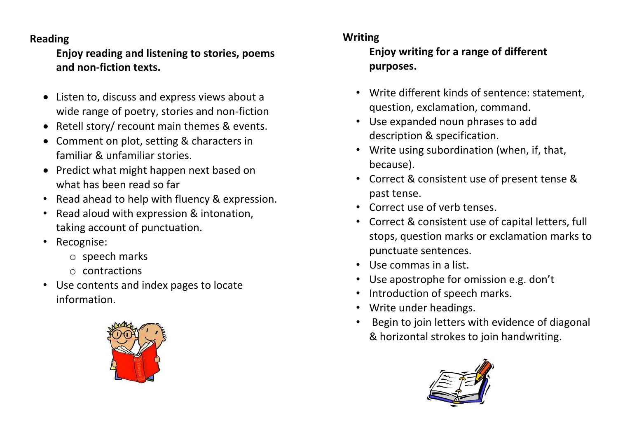## **Reading**

**Enjoy reading and listening to stories, poems and non-fiction texts.**

- Listen to, discuss and express views about a wide range of poetry, stories and non-fiction
- Retell story/ recount main themes & events.
- Comment on plot, setting & characters in familiar & unfamiliar stories.
- Predict what might happen next based on what has been read so far
- Read ahead to help with fluency & expression.
- Read aloud with expression & intonation, taking account of punctuation.
- Recognise:
	- o speech marks
	- o contractions
- Use contents and index pages to locate information.



## **Writing**

**Enjoy writing for a range of different purposes.**

- Write different kinds of sentence: statement, question, exclamation, command.
- Use expanded noun phrases to add description & specification.
- Write using subordination (when, if, that, because).
- Correct & consistent use of present tense & past tense.
- Correct use of verb tenses.
- Correct & consistent use of capital letters, full stops, question marks or exclamation marks to punctuate sentences.
- Use commas in a list.
- Use apostrophe for omission e.g. don't
- Introduction of speech marks.
- Write under headings.
- Begin to join letters with evidence of diagonal & horizontal strokes to join handwriting.